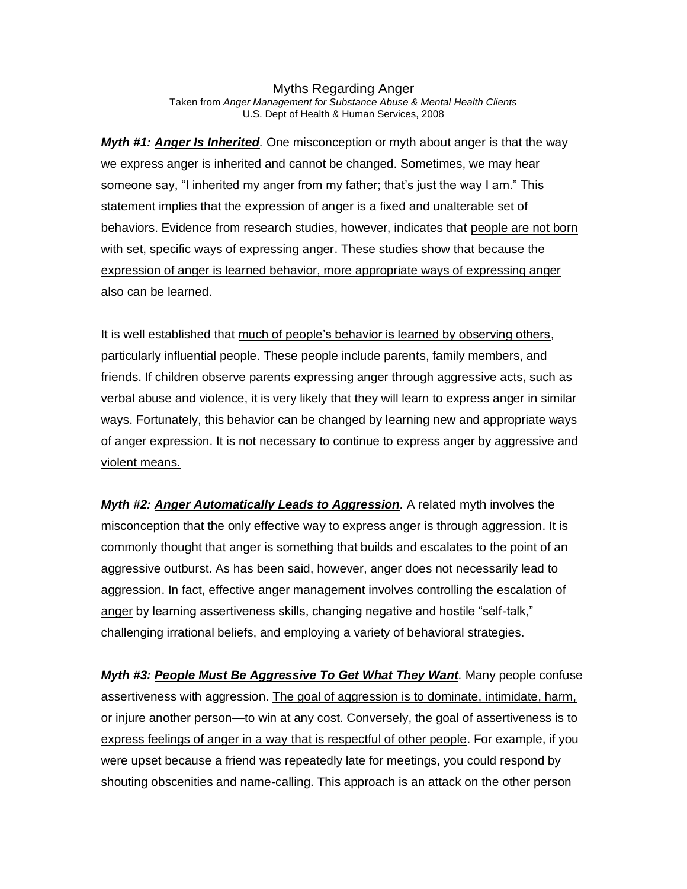Myths Regarding Anger Taken from *Anger Management for Substance Abuse & Mental Health Clients* U.S. Dept of Health & Human Services, 2008

*Myth #1: Anger Is Inherited.* One misconception or myth about anger is that the way we express anger is inherited and cannot be changed. Sometimes, we may hear someone say, "I inherited my anger from my father; that's just the way I am." This statement implies that the expression of anger is a fixed and unalterable set of behaviors. Evidence from research studies, however, indicates that people are not born with set, specific ways of expressing anger. These studies show that because the expression of anger is learned behavior, more appropriate ways of expressing anger also can be learned.

It is well established that much of people's behavior is learned by observing others, particularly influential people. These people include parents, family members, and friends. If children observe parents expressing anger through aggressive acts, such as verbal abuse and violence, it is very likely that they will learn to express anger in similar ways. Fortunately, this behavior can be changed by learning new and appropriate ways of anger expression. It is not necessary to continue to express anger by aggressive and violent means.

*Myth #2: Anger Automatically Leads to Aggression.* A related myth involves the misconception that the only effective way to express anger is through aggression. It is commonly thought that anger is something that builds and escalates to the point of an aggressive outburst. As has been said, however, anger does not necessarily lead to aggression. In fact, effective anger management involves controlling the escalation of anger by learning assertiveness skills, changing negative and hostile "self-talk," challenging irrational beliefs, and employing a variety of behavioral strategies.

*Myth #3: People Must Be Aggressive To Get What They Want.* Many people confuse assertiveness with aggression. The goal of aggression is to dominate, intimidate, harm, or injure another person—to win at any cost. Conversely, the goal of assertiveness is to express feelings of anger in a way that is respectful of other people. For example, if you were upset because a friend was repeatedly late for meetings, you could respond by shouting obscenities and name-calling. This approach is an attack on the other person